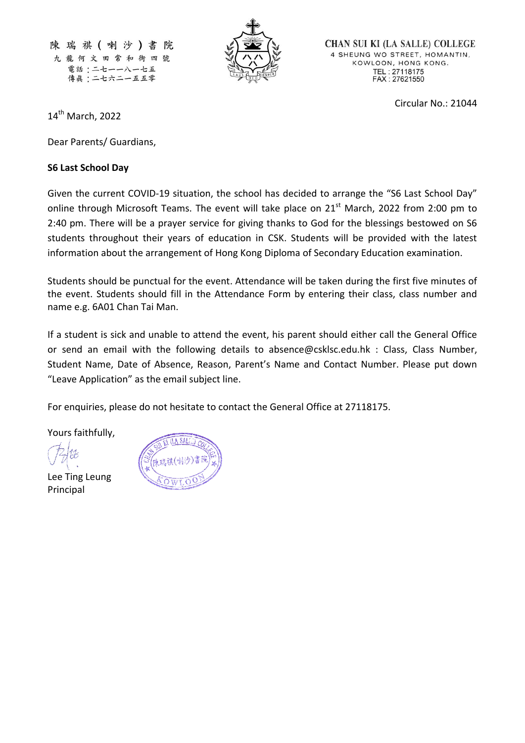陳瑞祺(喇沙)書院 九龍何文田常和街四號 電話:二七一一八一七五 傳眞:二七六二一五五零



**CHAN SUI KI (LA SALLE) COLLEGE** 4 SHEUNG WO STREET, HOMANTIN, KOWLOON, HONG KONG. TEL: 27118175<br>FAX: 27621550

Circular No.: 21044

14 th March, 2022

Dear Parents/ Guardians,

## **S6 Last School Day**

Given the current COVID-19 situation, the school has decided to arrange the "S6 Last School Day" online through Microsoft Teams. The event will take place on 21<sup>st</sup> March, 2022 from 2:00 pm to 2:40 pm. There will be a prayer service for giving thanks to God for the blessings bestowed on S6 students throughout their years of education in CSK. Students will be provided with the latest information about the arrangement of Hong Kong Diploma of Secondary Education examination.

Students should be punctual for the event. Attendance will be taken during the first five minutes of the event. Students should fill in the Attendance Form by entering their class, class number and name e.g. 6A01 Chan Tai Man.

If a student is sick and unable to attend the event, his parent should either call the General Office or send an email with the following details to [absence@csklsc.edu.hk](mailto:absence@csklsc.edu.hk) : Class, Class Number, Student Name, Date of Absence, Reason, Parent's Name and Contact Number. Please put down "Leave Application" as the email subject line.

For enquiries, please do not hesitate to contact the General Office at 27118175.

Yours faithfully,

Lee Ting Leung Principal